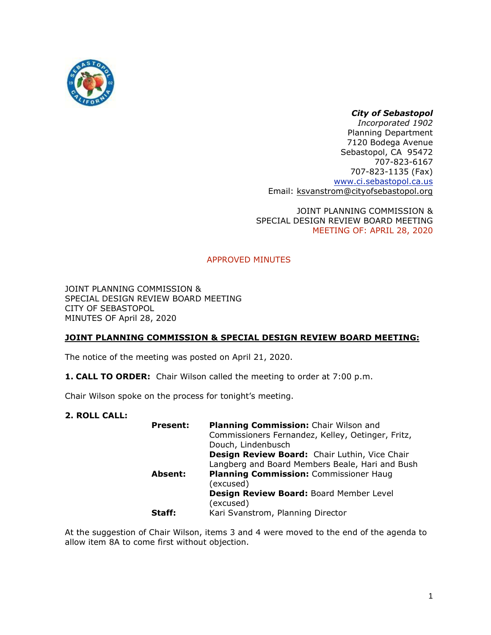

# *City of Sebastopol*

*Incorporated 1902* Planning Department 7120 Bodega Avenue Sebastopol, CA 95472 707-823-6167 707-823-1135 (Fax) [www.ci.sebastopol.ca.us](http://www.ci.sebastopol.ca.us/) Email: [ksvanstrom@cityofsebastopol.org](mailto:ksvanstrom@cityofsebastopol.org)

JOINT PLANNING COMMISSION & SPECIAL DESIGN REVIEW BOARD MEETING MEETING OF: APRIL 28, 2020

# APPROVED MINUTES

JOINT PLANNING COMMISSION & SPECIAL DESIGN REVIEW BOARD MEETING CITY OF SEBASTOPOL MINUTES OF April 28, 2020

# **JOINT PLANNING COMMISSION & SPECIAL DESIGN REVIEW BOARD MEETING:**

The notice of the meeting was posted on April 21, 2020.

**1. CALL TO ORDER:** Chair Wilson called the meeting to order at 7:00 p.m.

Chair Wilson spoke on the process for tonight's meeting.

## **2. ROLL CALL:**

| <b>Present:</b> | Planning Commission: Chair Wilson and             |
|-----------------|---------------------------------------------------|
|                 | Commissioners Fernandez, Kelley, Oetinger, Fritz, |
|                 | Douch, Lindenbusch                                |
|                 | Design Review Board: Chair Luthin, Vice Chair     |
|                 | Langberg and Board Members Beale, Hari and Bush   |
| Absent:         | Planning Commission: Commissioner Haug            |
|                 | (excused)                                         |
|                 | Design Review Board: Board Member Level           |
|                 | (excused)                                         |
| Staff:          | Kari Svanstrom, Planning Director                 |

At the suggestion of Chair Wilson, items 3 and 4 were moved to the end of the agenda to allow item 8A to come first without objection.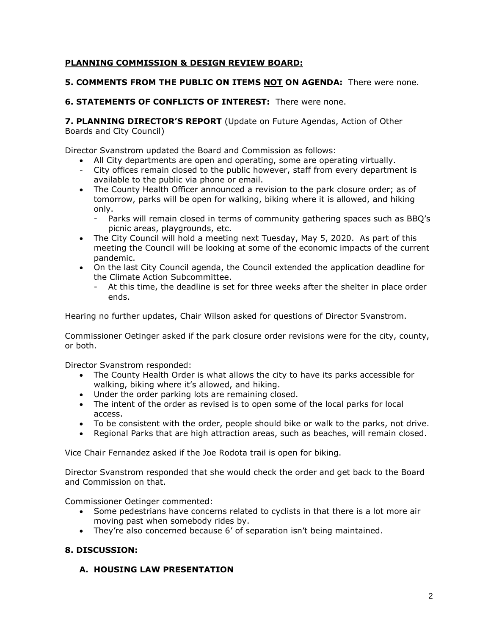## **PLANNING COMMISSION & DESIGN REVIEW BOARD:**

## **5. COMMENTS FROM THE PUBLIC ON ITEMS NOT ON AGENDA:** There were none.

## **6. STATEMENTS OF CONFLICTS OF INTEREST:** There were none.

**7. PLANNING DIRECTOR'S REPORT** (Update on Future Agendas, Action of Other Boards and City Council)

Director Svanstrom updated the Board and Commission as follows:

- All City departments are open and operating, some are operating virtually.
- City offices remain closed to the public however, staff from every department is available to the public via phone or email.
- The County Health Officer announced a revision to the park closure order; as of tomorrow, parks will be open for walking, biking where it is allowed, and hiking only.
	- Parks will remain closed in terms of community gathering spaces such as BBQ's picnic areas, playgrounds, etc.
- The City Council will hold a meeting next Tuesday, May 5, 2020. As part of this meeting the Council will be looking at some of the economic impacts of the current pandemic.
- On the last City Council agenda, the Council extended the application deadline for the Climate Action Subcommittee.
	- At this time, the deadline is set for three weeks after the shelter in place order ends.

Hearing no further updates, Chair Wilson asked for questions of Director Svanstrom.

Commissioner Oetinger asked if the park closure order revisions were for the city, county, or both.

Director Svanstrom responded:

- The County Health Order is what allows the city to have its parks accessible for walking, biking where it's allowed, and hiking.
- Under the order parking lots are remaining closed.
- The intent of the order as revised is to open some of the local parks for local access.
- To be consistent with the order, people should bike or walk to the parks, not drive.
- Regional Parks that are high attraction areas, such as beaches, will remain closed.

Vice Chair Fernandez asked if the Joe Rodota trail is open for biking.

Director Svanstrom responded that she would check the order and get back to the Board and Commission on that.

Commissioner Oetinger commented:

- Some pedestrians have concerns related to cyclists in that there is a lot more air moving past when somebody rides by.
- They're also concerned because 6' of separation isn't being maintained.

## **8. DISCUSSION:**

# **A. HOUSING LAW PRESENTATION**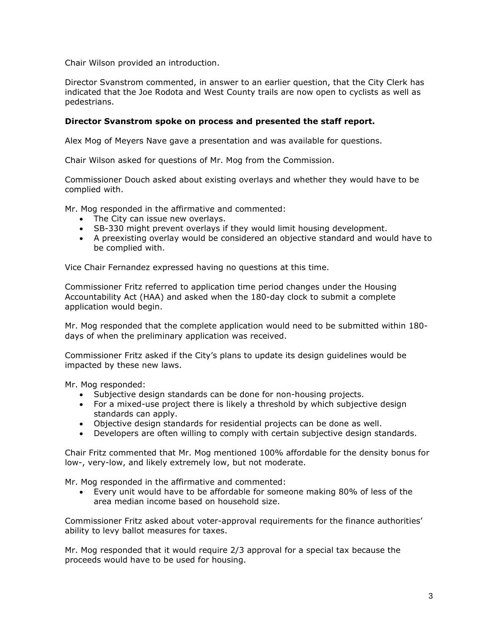Chair Wilson provided an introduction.

Director Svanstrom commented, in answer to an earlier question, that the City Clerk has indicated that the Joe Rodota and West County trails are now open to cyclists as well as pedestrians.

## **Director Svanstrom spoke on process and presented the staff report.**

Alex Mog of Meyers Nave gave a presentation and was available for questions.

Chair Wilson asked for questions of Mr. Mog from the Commission.

Commissioner Douch asked about existing overlays and whether they would have to be complied with.

Mr. Mog responded in the affirmative and commented:

- The City can issue new overlays.
- SB-330 might prevent overlays if they would limit housing development.
- A preexisting overlay would be considered an objective standard and would have to be complied with.

Vice Chair Fernandez expressed having no questions at this time.

Commissioner Fritz referred to application time period changes under the Housing Accountability Act (HAA) and asked when the 180-day clock to submit a complete application would begin.

Mr. Mog responded that the complete application would need to be submitted within 180 days of when the preliminary application was received.

Commissioner Fritz asked if the City's plans to update its design guidelines would be impacted by these new laws.

Mr. Mog responded:

- Subjective design standards can be done for non-housing projects.
- For a mixed-use project there is likely a threshold by which subjective design standards can apply.
- Objective design standards for residential projects can be done as well.
- Developers are often willing to comply with certain subjective design standards.

Chair Fritz commented that Mr. Mog mentioned 100% affordable for the density bonus for low-, very-low, and likely extremely low, but not moderate.

Mr. Mog responded in the affirmative and commented:

• Every unit would have to be affordable for someone making 80% of less of the area median income based on household size.

Commissioner Fritz asked about voter-approval requirements for the finance authorities' ability to levy ballot measures for taxes.

Mr. Mog responded that it would require 2/3 approval for a special tax because the proceeds would have to be used for housing.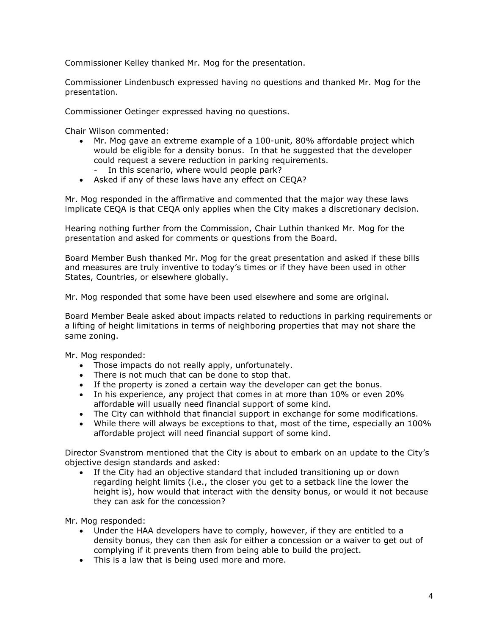Commissioner Kelley thanked Mr. Mog for the presentation.

Commissioner Lindenbusch expressed having no questions and thanked Mr. Mog for the presentation.

Commissioner Oetinger expressed having no questions.

Chair Wilson commented:

- Mr. Mog gave an extreme example of a 100-unit, 80% affordable project which would be eligible for a density bonus. In that he suggested that the developer could request a severe reduction in parking requirements.
	- In this scenario, where would people park?
- Asked if any of these laws have any effect on CEQA?

Mr. Mog responded in the affirmative and commented that the major way these laws implicate CEQA is that CEQA only applies when the City makes a discretionary decision.

Hearing nothing further from the Commission, Chair Luthin thanked Mr. Mog for the presentation and asked for comments or questions from the Board.

Board Member Bush thanked Mr. Mog for the great presentation and asked if these bills and measures are truly inventive to today's times or if they have been used in other States, Countries, or elsewhere globally.

Mr. Mog responded that some have been used elsewhere and some are original.

Board Member Beale asked about impacts related to reductions in parking requirements or a lifting of height limitations in terms of neighboring properties that may not share the same zoning.

Mr. Mog responded:

- Those impacts do not really apply, unfortunately.
- There is not much that can be done to stop that.
- If the property is zoned a certain way the developer can get the bonus.
- In his experience, any project that comes in at more than 10% or even 20% affordable will usually need financial support of some kind.
- The City can withhold that financial support in exchange for some modifications.
- While there will always be exceptions to that, most of the time, especially an 100% affordable project will need financial support of some kind.

Director Svanstrom mentioned that the City is about to embark on an update to the City's objective design standards and asked:

• If the City had an objective standard that included transitioning up or down regarding height limits (i.e., the closer you get to a setback line the lower the height is), how would that interact with the density bonus, or would it not because they can ask for the concession?

Mr. Mog responded:

- Under the HAA developers have to comply, however, if they are entitled to a density bonus, they can then ask for either a concession or a waiver to get out of complying if it prevents them from being able to build the project.
- This is a law that is being used more and more.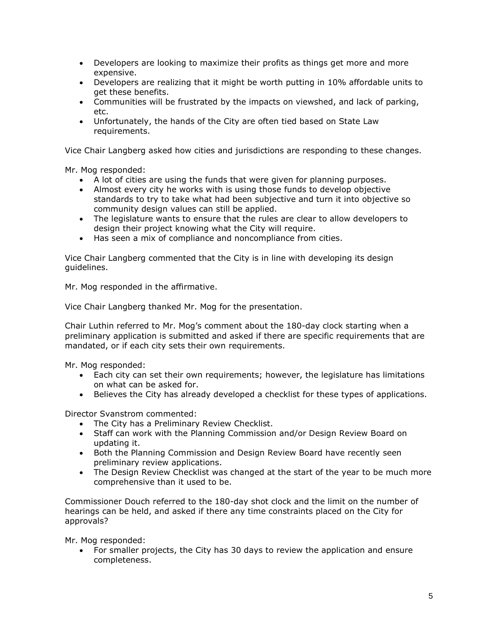- Developers are looking to maximize their profits as things get more and more expensive.
- Developers are realizing that it might be worth putting in 10% affordable units to get these benefits.
- Communities will be frustrated by the impacts on viewshed, and lack of parking, etc.
- Unfortunately, the hands of the City are often tied based on State Law requirements.

Vice Chair Langberg asked how cities and jurisdictions are responding to these changes.

Mr. Mog responded:

- A lot of cities are using the funds that were given for planning purposes.
- Almost every city he works with is using those funds to develop objective standards to try to take what had been subjective and turn it into objective so community design values can still be applied.
- The legislature wants to ensure that the rules are clear to allow developers to design their project knowing what the City will require.
- Has seen a mix of compliance and noncompliance from cities.

Vice Chair Langberg commented that the City is in line with developing its design guidelines.

Mr. Mog responded in the affirmative.

Vice Chair Langberg thanked Mr. Mog for the presentation.

Chair Luthin referred to Mr. Mog's comment about the 180-day clock starting when a preliminary application is submitted and asked if there are specific requirements that are mandated, or if each city sets their own requirements.

Mr. Mog responded:

- Each city can set their own requirements; however, the legislature has limitations on what can be asked for.
- Believes the City has already developed a checklist for these types of applications.

Director Svanstrom commented:

- The City has a Preliminary Review Checklist.
- Staff can work with the Planning Commission and/or Design Review Board on updating it.
- Both the Planning Commission and Design Review Board have recently seen preliminary review applications.
- The Design Review Checklist was changed at the start of the year to be much more comprehensive than it used to be.

Commissioner Douch referred to the 180-day shot clock and the limit on the number of hearings can be held, and asked if there any time constraints placed on the City for approvals?

Mr. Mog responded:

• For smaller projects, the City has 30 days to review the application and ensure completeness.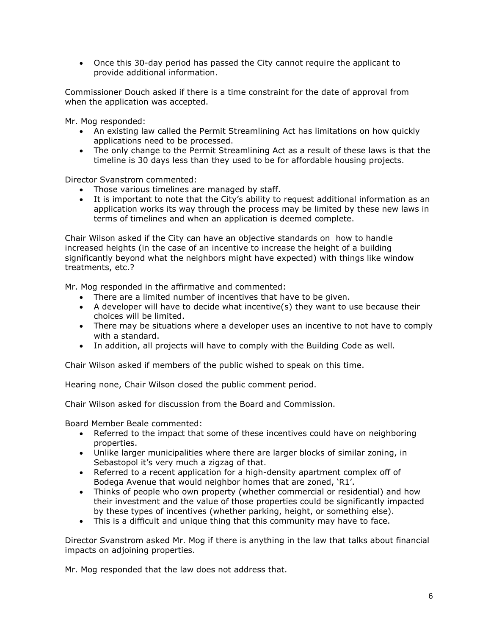• Once this 30-day period has passed the City cannot require the applicant to provide additional information.

Commissioner Douch asked if there is a time constraint for the date of approval from when the application was accepted.

Mr. Mog responded:

- An existing law called the Permit Streamlining Act has limitations on how quickly applications need to be processed.
- The only change to the Permit Streamlining Act as a result of these laws is that the timeline is 30 days less than they used to be for affordable housing projects.

Director Svanstrom commented:

- Those various timelines are managed by staff.
- It is important to note that the City's ability to request additional information as an application works its way through the process may be limited by these new laws in terms of timelines and when an application is deemed complete.

Chair Wilson asked if the City can have an objective standards on how to handle increased heights (in the case of an incentive to increase the height of a building significantly beyond what the neighbors might have expected) with things like window treatments, etc.?

Mr. Mog responded in the affirmative and commented:

- There are a limited number of incentives that have to be given.
- A developer will have to decide what incentive(s) they want to use because their choices will be limited.
- There may be situations where a developer uses an incentive to not have to comply with a standard.
- In addition, all projects will have to comply with the Building Code as well.

Chair Wilson asked if members of the public wished to speak on this time.

Hearing none, Chair Wilson closed the public comment period.

Chair Wilson asked for discussion from the Board and Commission.

Board Member Beale commented:

- Referred to the impact that some of these incentives could have on neighboring properties.
- Unlike larger municipalities where there are larger blocks of similar zoning, in Sebastopol it's very much a zigzag of that.
- Referred to a recent application for a high-density apartment complex off of Bodega Avenue that would neighbor homes that are zoned, 'R1'.
- Thinks of people who own property (whether commercial or residential) and how their investment and the value of those properties could be significantly impacted by these types of incentives (whether parking, height, or something else).
- This is a difficult and unique thing that this community may have to face.

Director Svanstrom asked Mr. Mog if there is anything in the law that talks about financial impacts on adjoining properties.

Mr. Mog responded that the law does not address that.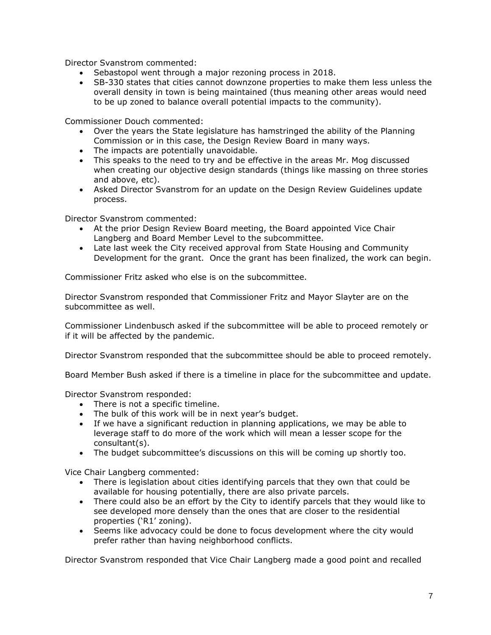Director Svanstrom commented:

- Sebastopol went through a major rezoning process in 2018.
- SB-330 states that cities cannot downzone properties to make them less unless the overall density in town is being maintained (thus meaning other areas would need to be up zoned to balance overall potential impacts to the community).

Commissioner Douch commented:

- Over the years the State legislature has hamstringed the ability of the Planning Commission or in this case, the Design Review Board in many ways.
- The impacts are potentially unavoidable.
- This speaks to the need to try and be effective in the areas Mr. Mog discussed when creating our objective design standards (things like massing on three stories and above, etc).
- Asked Director Svanstrom for an update on the Design Review Guidelines update process.

Director Svanstrom commented:

- At the prior Design Review Board meeting, the Board appointed Vice Chair Langberg and Board Member Level to the subcommittee.
- Late last week the City received approval from State Housing and Community Development for the grant. Once the grant has been finalized, the work can begin.

Commissioner Fritz asked who else is on the subcommittee.

Director Svanstrom responded that Commissioner Fritz and Mayor Slayter are on the subcommittee as well.

Commissioner Lindenbusch asked if the subcommittee will be able to proceed remotely or if it will be affected by the pandemic.

Director Svanstrom responded that the subcommittee should be able to proceed remotely.

Board Member Bush asked if there is a timeline in place for the subcommittee and update.

Director Svanstrom responded:

- There is not a specific timeline.
- The bulk of this work will be in next year's budget.
- If we have a significant reduction in planning applications, we may be able to leverage staff to do more of the work which will mean a lesser scope for the consultant(s).
- The budget subcommittee's discussions on this will be coming up shortly too.

Vice Chair Langberg commented:

- There is legislation about cities identifying parcels that they own that could be available for housing potentially, there are also private parcels.
- There could also be an effort by the City to identify parcels that they would like to see developed more densely than the ones that are closer to the residential properties ('R1' zoning).
- Seems like advocacy could be done to focus development where the city would prefer rather than having neighborhood conflicts.

Director Svanstrom responded that Vice Chair Langberg made a good point and recalled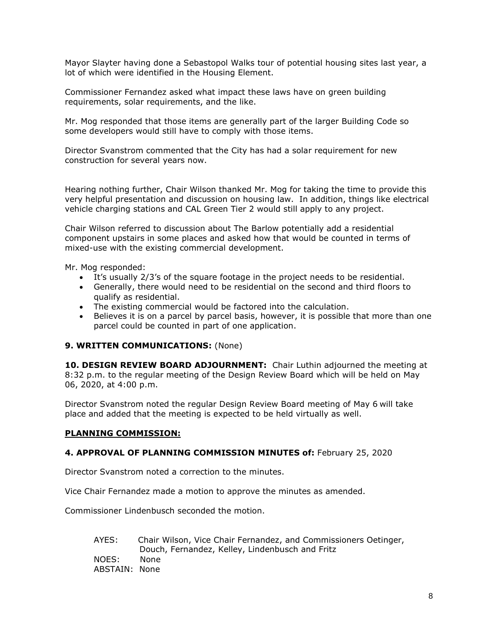Mayor Slayter having done a Sebastopol Walks tour of potential housing sites last year, a lot of which were identified in the Housing Element.

Commissioner Fernandez asked what impact these laws have on green building requirements, solar requirements, and the like.

Mr. Mog responded that those items are generally part of the larger Building Code so some developers would still have to comply with those items.

Director Svanstrom commented that the City has had a solar requirement for new construction for several years now.

Hearing nothing further, Chair Wilson thanked Mr. Mog for taking the time to provide this very helpful presentation and discussion on housing law. In addition, things like electrical vehicle charging stations and CAL Green Tier 2 would still apply to any project.

Chair Wilson referred to discussion about The Barlow potentially add a residential component upstairs in some places and asked how that would be counted in terms of mixed-use with the existing commercial development.

Mr. Mog responded:

- It's usually 2/3's of the square footage in the project needs to be residential.
- Generally, there would need to be residential on the second and third floors to qualify as residential.
- The existing commercial would be factored into the calculation.
- Believes it is on a parcel by parcel basis, however, it is possible that more than one parcel could be counted in part of one application.

## **9. WRITTEN COMMUNICATIONS:** (None)

**10. DESIGN REVIEW BOARD ADJOURNMENT:** Chair Luthin adjourned the meeting at 8:32 p.m. to the regular meeting of the Design Review Board which will be held on May 06, 2020, at 4:00 p.m.

Director Svanstrom noted the regular Design Review Board meeting of May 6 will take place and added that the meeting is expected to be held virtually as well.

## **PLANNING COMMISSION:**

#### **4. APPROVAL OF PLANNING COMMISSION MINUTES of:** February 25, 2020

Director Svanstrom noted a correction to the minutes.

Vice Chair Fernandez made a motion to approve the minutes as amended.

Commissioner Lindenbusch seconded the motion.

AYES: Chair Wilson, Vice Chair Fernandez, and Commissioners Oetinger, Douch, Fernandez, Kelley, Lindenbusch and Fritz NOES: None ABSTAIN: None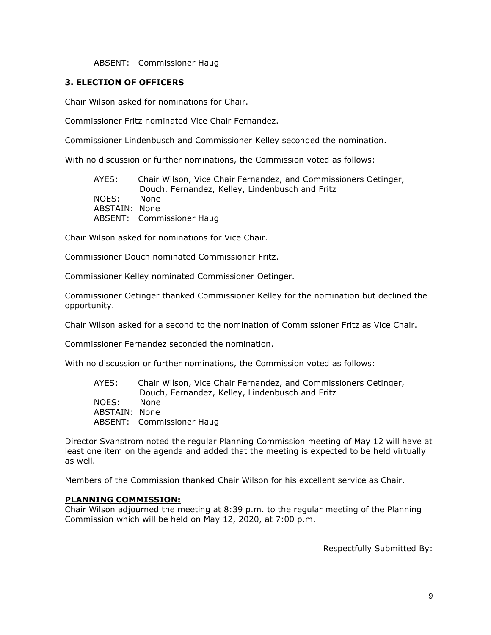#### ABSENT: Commissioner Haug

## **3. ELECTION OF OFFICERS**

Chair Wilson asked for nominations for Chair.

Commissioner Fritz nominated Vice Chair Fernandez.

Commissioner Lindenbusch and Commissioner Kelley seconded the nomination.

With no discussion or further nominations, the Commission voted as follows:

AYES: Chair Wilson, Vice Chair Fernandez, and Commissioners Oetinger, Douch, Fernandez, Kelley, Lindenbusch and Fritz NOES: None ABSTAIN: None ABSENT: Commissioner Haug

Chair Wilson asked for nominations for Vice Chair.

Commissioner Douch nominated Commissioner Fritz.

Commissioner Kelley nominated Commissioner Oetinger.

Commissioner Oetinger thanked Commissioner Kelley for the nomination but declined the opportunity.

Chair Wilson asked for a second to the nomination of Commissioner Fritz as Vice Chair.

Commissioner Fernandez seconded the nomination.

With no discussion or further nominations, the Commission voted as follows:

| AYES:         | Chair Wilson, Vice Chair Fernandez, and Commissioners Oetinger, |
|---------------|-----------------------------------------------------------------|
|               | Douch, Fernandez, Kelley, Lindenbusch and Fritz                 |
| NOES:         | None                                                            |
| ABSTAIN: None |                                                                 |
|               | <b>ABSENT:</b> Commissioner Haug                                |

Director Svanstrom noted the regular Planning Commission meeting of May 12 will have at least one item on the agenda and added that the meeting is expected to be held virtually as well.

Members of the Commission thanked Chair Wilson for his excellent service as Chair.

## **PLANNING COMMISSION:**

Chair Wilson adjourned the meeting at 8:39 p.m. to the regular meeting of the Planning Commission which will be held on May 12, 2020, at 7:00 p.m.

Respectfully Submitted By: